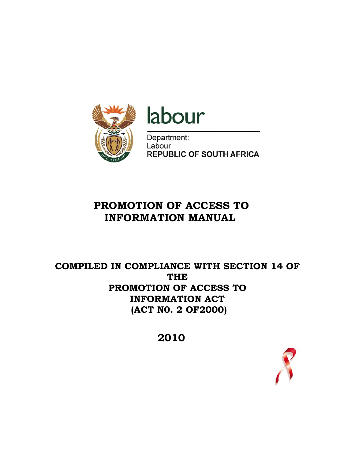

# labour

Department: Labour **REPUBLIC OF SOUTH AFRICA** 

# **PROMOTION OF ACCESS TO INFORMATION MANUAL**

## **COMPILED IN COMPLIANCE WITH SECTION 14 OF THE PROMOTION OF ACCESS TO INFORMATION ACT (ACT N0. 2 OF2000)**

 **2010** 

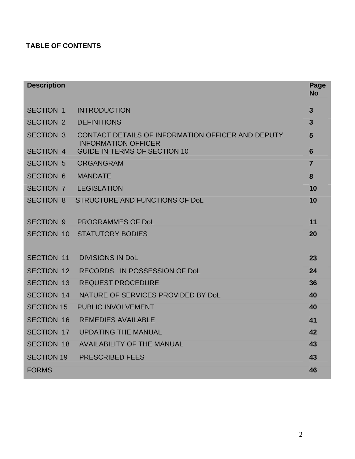## **TABLE OF CONTENTS**

| <b>Description</b> |                                                                                 | Page<br><b>No</b> |
|--------------------|---------------------------------------------------------------------------------|-------------------|
| <b>SECTION 1</b>   | <b>INTRODUCTION</b>                                                             | $\mathbf{3}$      |
| <b>SECTION 2</b>   | <b>DEFINITIONS</b>                                                              | $\overline{3}$    |
| <b>SECTION 3</b>   | CONTACT DETAILS OF INFORMATION OFFICER AND DEPUTY<br><b>INFORMATION OFFICER</b> | 5                 |
| <b>SECTION 4</b>   | <b>GUIDE IN TERMS OF SECTION 10</b>                                             | $6\phantom{1}6$   |
| <b>SECTION 5</b>   | <b>ORGANGRAM</b>                                                                | $\overline{7}$    |
| <b>SECTION 6</b>   | <b>MANDATE</b>                                                                  | 8                 |
| <b>SECTION 7</b>   | <b>LEGISLATION</b>                                                              | 10                |
| <b>SECTION 8</b>   | <b>STRUCTURE AND FUNCTIONS OF DoL</b>                                           | 10                |
|                    |                                                                                 |                   |
| <b>SECTION 9</b>   | <b>PROGRAMMES OF DoL</b>                                                        | 11                |
| <b>SECTION 10</b>  | <b>STATUTORY BODIES</b>                                                         | 20                |
| <b>SECTION 11</b>  | <b>DIVISIONS IN DoL</b>                                                         | 23                |
| <b>SECTION 12</b>  | RECORDS IN POSSESSION OF DoL                                                    | 24                |
| <b>SECTION 13</b>  | <b>REQUEST PROCEDURE</b>                                                        | 36                |
| <b>SECTION 14</b>  | NATURE OF SERVICES PROVIDED BY DoL                                              | 40                |
| <b>SECTION 15</b>  | PUBLIC INVOLVEMENT                                                              | 40                |
| <b>SECTION 16</b>  | <b>REMEDIES AVAILABLE</b>                                                       | 41                |
| <b>SECTION 17</b>  | <b>UPDATING THE MANUAL</b>                                                      | 42                |
| <b>SECTION 18</b>  | <b>AVAILABILITY OF THE MANUAL</b>                                               | 43                |
| <b>SECTION 19</b>  | <b>PRESCRIBED FEES</b>                                                          | 43                |
| <b>FORMS</b>       |                                                                                 | 46                |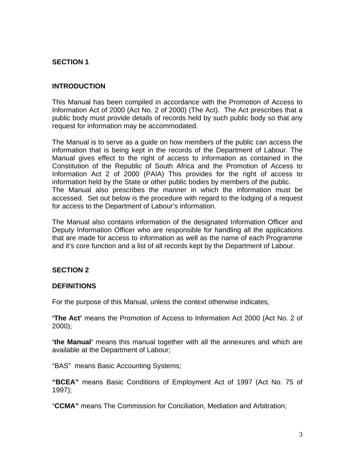## **SECTION 1**

## **INTRODUCTION**

This Manual has been compiled in accordance with the Promotion of Access to Information Act of 2000 (Act No. 2 of 2000) (The Act). The Act prescribes that a public body must provide details of records held by such public body so that any request for information may be accommodated.

The Manual is to serve as a guide on how members of the public can access the information that is being kept in the records of the Department of Labour. The Manual gives effect to the right of access to information as contained in the Constitution of the Republic of South Africa and the Promotion of Access to Information Act 2 of 2000 (PAIA) This provides for the right of access to information held by the State or other public bodies by members of the public. The Manual also prescribes the manner in which the information must be accessed. Set out below is the procedure with regard to the lodging of a request for access to the Department of Labour's information.

The Manual also contains information of the designated Information Officer and Deputy Information Officer who are responsible for handling all the applications that are made for access to information as well as the name of each Programme and it's core function and a list of all records kept by the Department of Labour.

#### **SECTION 2**

#### **DEFINITIONS**

For the purpose of this Manual, unless the context otherwise indicates,

**'The Act'** means the Promotion of Access to Information Act 2000 (Act No. 2 of 2000);

**'the Manual'** means this manual together with all the annexures and which are available at the Department of Labour;

"BAS" means Basic Accounting Systems;

**"BCEA"** means Basic Conditions of Employment Act of 1997 (Act No. 75 of 1997);

"**CCMA"** means The Commission for Conciliation, Mediation and Arbitration;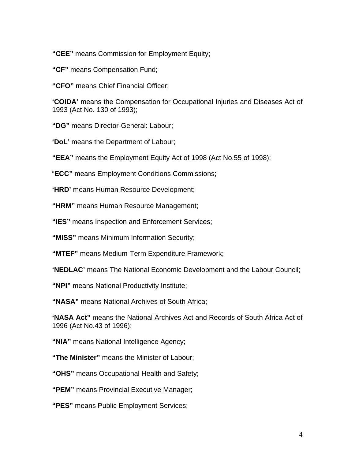**"CEE"** means Commission for Employment Equity;

- **"CF"** means Compensation Fund;
- **"CFO"** means Chief Financial Officer;

**'COIDA'** means the Compensation for Occupational Injuries and Diseases Act of 1993 (Act No. 130 of 1993);

**"DG"** means Director-General: Labour;

**'DoL'** means the Department of Labour;

**"EEA"** means the Employment Equity Act of 1998 (Act No.55 of 1998);

"**ECC"** means Employment Conditions Commissions;

**'HRD'** means Human Resource Development;

**"HRM"** means Human Resource Management;

**"IES"** means Inspection and Enforcement Services;

**"MISS"** means Minimum Information Security;

**"MTEF"** means Medium-Term Expenditure Framework;

**'NEDLAC'** means The National Economic Development and the Labour Council;

**"NPI"** means National Productivity Institute;

**"NASA"** means National Archives of South Africa;

**'NASA Act"** means the National Archives Act and Records of South Africa Act of 1996 (Act No.43 of 1996);

**"NIA"** means National Intelligence Agency;

**"The Minister"** means the Minister of Labour;

**"OHS"** means Occupational Health and Safety;

**"PEM"** means Provincial Executive Manager;

**"PES"** means Public Employment Services;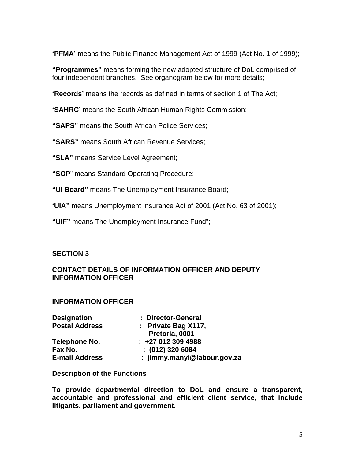**'PFMA'** means the Public Finance Management Act of 1999 (Act No. 1 of 1999);

**"Programmes"** means forming the new adopted structure of DoL comprised of four independent branches. See organogram below for more details;

**'Records'** means the records as defined in terms of section 1 of The Act;

**'SAHRC'** means the South African Human Rights Commission;

**"SAPS"** means the South African Police Services;

**"SARS"** means South African Revenue Services;

**"SLA"** means Service Level Agreement;

**"SOP**" means Standard Operating Procedure;

**"UI Board"** means The Unemployment Insurance Board;

**'UIA"** means Unemployment Insurance Act of 2001 (Act No. 63 of 2001);

**"UIF"** means The Unemployment Insurance Fund";

## **SECTION 3**

## **CONTACT DETAILS OF INFORMATION OFFICER AND DEPUTY INFORMATION OFFICER**

#### **INFORMATION OFFICER**

| <b>Designation</b>    | : Director-General          |
|-----------------------|-----------------------------|
| <b>Postal Address</b> | : Private Bag $X117$ ,      |
|                       | Pretoria, 0001              |
| Telephone No.         | $: +270123094988$           |
| Fax No.               | $: (012)$ 320 6084          |
| <b>E-mail Address</b> | : jimmy.manyi@labour.gov.za |

#### **Description of the Functions**

**To provide departmental direction to DoL and ensure a transparent, accountable and professional and efficient client service, that include litigants, parliament and government.**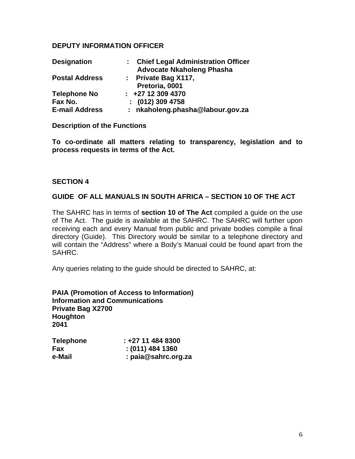## **DEPUTY INFORMATION OFFICER**

| <b>Designation</b>    | : Chief Legal Administration Officer |
|-----------------------|--------------------------------------|
|                       | <b>Advocate Nkaholeng Phasha</b>     |
| <b>Postal Address</b> | : Private Bag $X117$ ,               |
|                       | Pretoria, 0001                       |
| <b>Telephone No</b>   | $\div$ +27 12 309 4370               |
| Fax No.               | $: (012)$ 309 4758                   |
| <b>E-mail Address</b> | : nkaholeng.phasha@labour.gov.za     |

**Description of the Functions** 

**To co-ordinate all matters relating to transparency, legislation and to process requests in terms of the Act.** 

#### **SECTION 4**

#### **GUIDE OF ALL MANUALS IN SOUTH AFRICA – SECTION 10 OF THE ACT**

The SAHRC has in terms of **section 10 of The Act** compiled a guide on the use of The Act. The guide is available at the SAHRC. The SAHRC will further upon receiving each and every Manual from public and private bodies compile a final directory (Guide). This Directory would be similar to a telephone directory and will contain the "Address" where a Body's Manual could be found apart from the SAHRC.

Any queries relating to the guide should be directed to SAHRC, at:

**PAIA (Promotion of Access to Information) Information and Communications Private Bag X2700 Houghton 2041** 

| <b>Telephone</b> | $: +27114848300$      |
|------------------|-----------------------|
| <b>Fax</b>       | $: (011)$ 484 1360    |
| e-Mail           | : $paia@sahrc.org.za$ |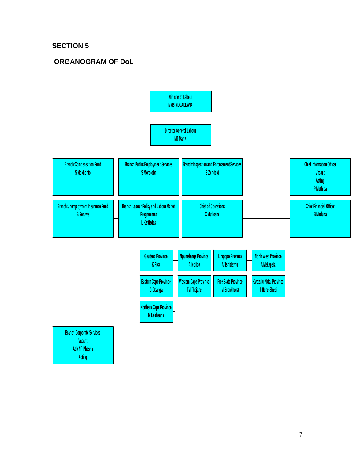## **SECTION 5**

## **ORGANOGRAM OF DoL**

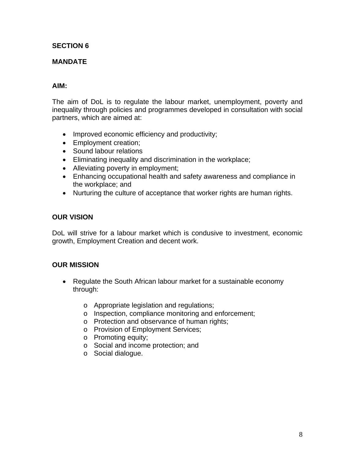## **SECTION 6**

## **MANDATE**

## **AIM:**

The aim of DoL is to regulate the labour market, unemployment, poverty and inequality through policies and programmes developed in consultation with social partners, which are aimed at:

- Improved economic efficiency and productivity;
- Employment creation;
- Sound labour relations
- Eliminating inequality and discrimination in the workplace;
- Alleviating poverty in employment;
- Enhancing occupational health and safety awareness and compliance in the workplace; and
- Nurturing the culture of acceptance that worker rights are human rights.

#### **OUR VISION**

DoL will strive for a labour market which is condusive to investment, economic growth, Employment Creation and decent work.

#### **OUR MISSION**

- Regulate the South African labour market for a sustainable economy through:
	- o Appropriate legislation and regulations;
	- o Inspection, compliance monitoring and enforcement;
	- o Protection and observance of human rights;
	- o Provision of Employment Services;
	- o Promoting equity;
	- o Social and income protection; and
	- o Social dialogue.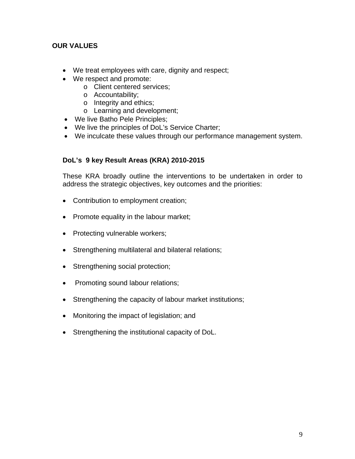## **OUR VALUES**

- We treat employees with care, dignity and respect;
- We respect and promote:
	- o Client centered services;
	- o Accountability;
	- o Integrity and ethics;
	- o Learning and development;
- We live Batho Pele Principles;
- We live the principles of DoL's Service Charter;
- We inculcate these values through our performance management system.

## **DoL's 9 key Result Areas (KRA) 2010-2015**

These KRA broadly outline the interventions to be undertaken in order to address the strategic objectives, key outcomes and the priorities:

- Contribution to employment creation;
- Promote equality in the labour market;
- Protecting vulnerable workers;
- Strengthening multilateral and bilateral relations;
- Strengthening social protection;
- Promoting sound labour relations;
- Strengthening the capacity of labour market institutions;
- Monitoring the impact of legislation; and
- Strengthening the institutional capacity of DoL.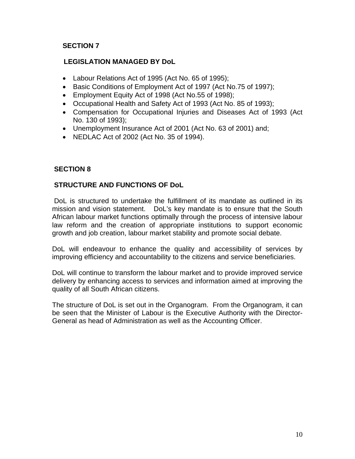## **SECTION 7**

## **LEGISLATION MANAGED BY DoL**

- Labour Relations Act of 1995 (Act No. 65 of 1995);
- Basic Conditions of Employment Act of 1997 (Act No.75 of 1997);
- Employment Equity Act of 1998 (Act No.55 of 1998);
- Occupational Health and Safety Act of 1993 (Act No. 85 of 1993);
- Compensation for Occupational Injuries and Diseases Act of 1993 (Act No. 130 of 1993);
- Unemployment Insurance Act of 2001 (Act No. 63 of 2001) and;
- NEDLAC Act of 2002 (Act No. 35 of 1994).

## **SECTION 8**

## **STRUCTURE AND FUNCTIONS OF DoL**

 DoL is structured to undertake the fulfillment of its mandate as outlined in its mission and vision statement. DoL's key mandate is to ensure that the South African labour market functions optimally through the process of intensive labour law reform and the creation of appropriate institutions to support economic growth and job creation, labour market stability and promote social debate.

DoL will endeavour to enhance the quality and accessibility of services by improving efficiency and accountability to the citizens and service beneficiaries.

DoL will continue to transform the labour market and to provide improved service delivery by enhancing access to services and information aimed at improving the quality of all South African citizens.

The structure of DoL is set out in the Organogram. From the Organogram, it can be seen that the Minister of Labour is the Executive Authority with the Director-General as head of Administration as well as the Accounting Officer.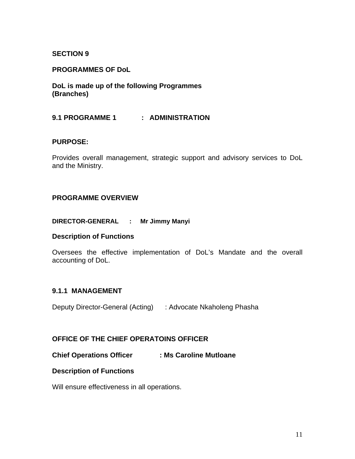## **SECTION 9**

#### **PROGRAMMES OF DoL**

**DoL is made up of the following Programmes (Branches)** 

#### **9.1 PROGRAMME 1 : ADMINISTRATION**

#### **PURPOSE:**

Provides overall management, strategic support and advisory services to DoL and the Ministry.

#### **PROGRAMME OVERVIEW**

#### **DIRECTOR-GENERAL : Mr Jimmy Manyi**

#### **Description of Functions**

Oversees the effective implementation of DoL's Mandate and the overall accounting of DoL.

#### **9.1.1 MANAGEMENT**

Deputy Director-General (Acting) : Advocate Nkaholeng Phasha

#### **OFFICE OF THE CHIEF OPERATOINS OFFICER**

**Chief Operations Officer : Ms Caroline Mutloane** 

#### **Description of Functions**

Will ensure effectiveness in all operations.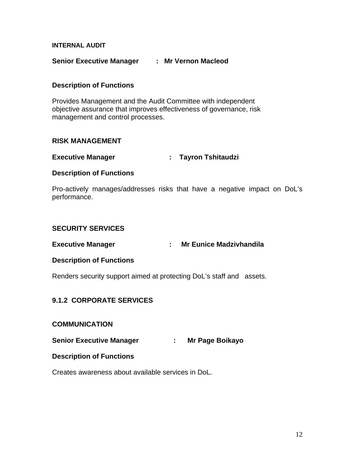#### **INTERNAL AUDIT**

#### **Senior Executive Manager : Mr Vernon Macleod**

#### **Description of Functions**

Provides Management and the Audit Committee with independent objective assurance that improves effectiveness of governance, risk management and control processes.

#### **RISK MANAGEMENT**

#### **Executive Manager : Tayron Tshitaudzi**

#### **Description of Functions**

Pro-actively manages/addresses risks that have a negative impact on DoL's performance.

#### **SECURITY SERVICES**

#### **Executive Manager : Mr Eunice Madzivhandila**

#### **Description of Functions**

Renders security support aimed at protecting DoL's staff and assets.

## **9.1.2 CORPORATE SERVICES**

#### **COMMUNICATION**

**Senior Executive Manager : Mr Page Boikayo** 

#### **Description of Functions**

Creates awareness about available services in DoL.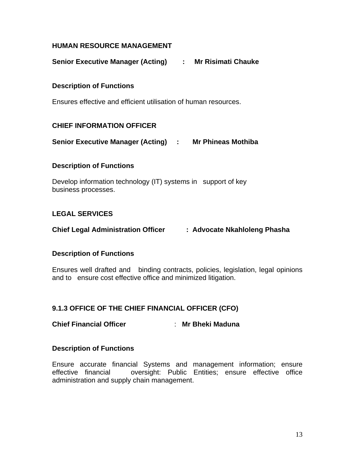## **HUMAN RESOURCE MANAGEMENT**

**Senior Executive Manager (Acting) : Mr Risimati Chauke**

## **Description of Functions**

Ensures effective and efficient utilisation of human resources.

## **CHIEF INFORMATION OFFICER**

**Senior Executive Manager (Acting) : Mr Phineas Mothiba** 

## **Description of Functions**

Develop information technology (IT) systems in support of key business processes.

## **LEGAL SERVICES**

**Chief Legal Administration Officer : Advocate Nkahloleng Phasha**

#### **Description of Functions**

Ensures well drafted and binding contracts, policies, legislation, legal opinions and to ensure cost effective office and minimized litigation.

## **9.1.3 OFFICE OF THE CHIEF FINANCIAL OFFICER (CFO)**

## **Chief Financial Officer** : **Mr Bheki Maduna**

#### **Description of Functions**

Ensure accurate financial Systems and management information; ensure effective financial oversight: Public Entities; ensure effective office administration and supply chain management.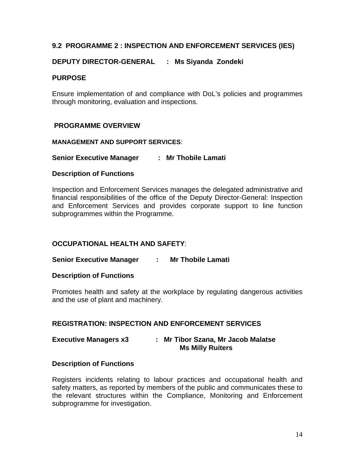## **9.2 PROGRAMME 2 : INSPECTION AND ENFORCEMENT SERVICES (IES)**

## **DEPUTY DIRECTOR-GENERAL : Ms Siyanda Zondeki**

#### **PURPOSE**

Ensure implementation of and compliance with DoL's policies and programmes through monitoring, evaluation and inspections.

#### **PROGRAMME OVERVIEW**

#### **MANAGEMENT AND SUPPORT SERVICES**:

#### **Senior Executive Manager : Mr Thobile Lamati**

#### **Description of Functions**

Inspection and Enforcement Services manages the delegated administrative and financial responsibilities of the office of the Deputy Director-General: Inspection and Enforcement Services and provides corporate support to line function subprogrammes within the Programme.

#### **OCCUPATIONAL HEALTH AND SAFETY**:

#### **Senior Executive Manager : Mr Thobile Lamati**

#### **Description of Functions**

Promotes health and safety at the workplace by regulating dangerous activities and the use of plant and machinery.

#### **REGISTRATION: INSPECTION AND ENFORCEMENT SERVICES**

#### **Executive Managers x3 : Mr Tibor Szana, Mr Jacob Malatse Ms Milly Ruiters**

#### **Description of Functions**

Registers incidents relating to labour practices and occupational health and safety matters, as reported by members of the public and communicates these to the relevant structures within the Compliance, Monitoring and Enforcement subprogramme for investigation.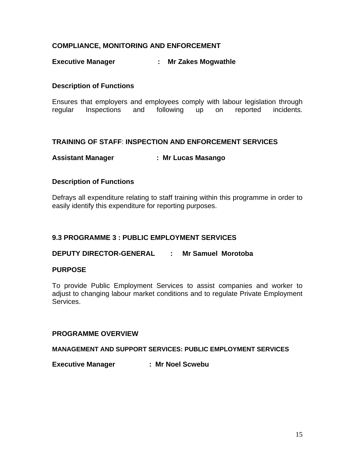## **COMPLIANCE, MONITORING AND ENFORCEMENT**

## **Executive Manager : Mr Zakes Mogwathle**

## **Description of Functions**

Ensures that employers and employees comply with labour legislation through regular Inspections and following up on reported incidents.

## **TRAINING OF STAFF**: **INSPECTION AND ENFORCEMENT SERVICES**

## **Assistant Manager : Mr Lucas Masango**

## **Description of Functions**

Defrays all expenditure relating to staff training within this programme in order to easily identify this expenditure for reporting purposes.

#### **9.3 PROGRAMME 3 : PUBLIC EMPLOYMENT SERVICES**

**DEPUTY DIRECTOR-GENERAL : Mr Samuel Morotoba** 

#### **PURPOSE**

To provide Public Employment Services to assist companies and worker to adjust to changing labour market conditions and to regulate Private Employment Services.

#### **PROGRAMME OVERVIEW**

**MANAGEMENT AND SUPPORT SERVICES: PUBLIC EMPLOYMENT SERVICES**

**Executive Manager : Mr Noel Scwebu**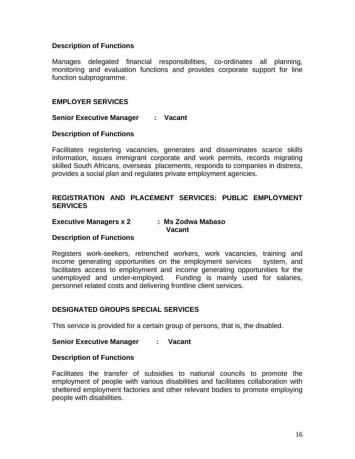#### **Description of Functions**

Manages delegated financial responsibilities, co-ordinates all planning, monitoring and evaluation functions and provides corporate support for line function subprogramme.

#### **EMPLOYER SERVICES**

**Senior Executive Manager : Vacant**

#### **Description of Functions**

Facilitates registering vacancies, generates and disseminates scarce skills information, issues immigrant corporate and work permits, records migrating skilled South Africans, overseas placements, responds to companies in distress, provides a social plan and regulates private employment agencies.

## **REGISTRATION AND PLACEMENT SERVICES: PUBLIC EMPLOYMENT SERVICES**

#### **Executive Managers x 2 : Ms Zodwa Mabaso Vacant**

#### **Description of Functions**

Registers work-seekers, retrenched workers, work vacancies, training and income generating opportunities on the employment services system, and facilitates access to employment and income generating opportunities for the unemployed and under-employed. Funding is mainly used for salaries, personnel related costs and delivering frontline client services.

#### **DESIGNATED GROUPS SPECIAL SERVICES**

This service is provided for a certain group of persons, that is, the disabled.

#### **Senior Executive Manager : Vacant**

#### **Description of Functions**

Facilitates the transfer of subsidies to national councils to promote the employment of people with various disabilities and facilitates collaboration with sheltered employment factories and other relevant bodies to promote employing people with disabilities.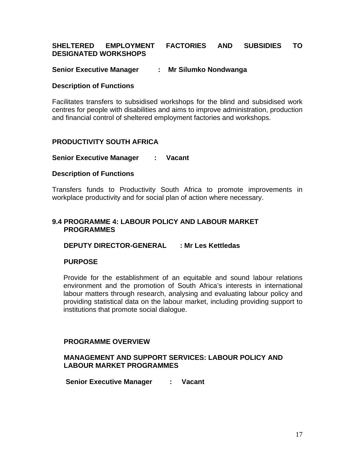#### **SHELTERED EMPLOYMENT FACTORIES AND SUBSIDIES TO DESIGNATED WORKSHOPS**

#### **Senior Executive Manager : Mr Silumko Nondwanga**

#### **Description of Functions**

Facilitates transfers to subsidised workshops for the blind and subsidised work centres for people with disabilities and aims to improve administration, production and financial control of sheltered employment factories and workshops.

#### **PRODUCTIVITY SOUTH AFRICA**

#### **Senior Executive Manager : Vacant**

#### **Description of Functions**

Transfers funds to Productivity South Africa to promote improvements in workplace productivity and for social plan of action where necessary.

#### **9.4 PROGRAMME 4: LABOUR POLICY AND LABOUR MARKET PROGRAMMES**

#### **DEPUTY DIRECTOR-GENERAL : Mr Les Kettledas**

#### **PURPOSE**

Provide for the establishment of an equitable and sound labour relations environment and the promotion of South Africa's interests in international labour matters through research, analysing and evaluating labour policy and providing statistical data on the labour market, including providing support to institutions that promote social dialogue.

#### **PROGRAMME OVERVIEW**

#### **MANAGEMENT AND SUPPORT SERVICES: LABOUR POLICY AND LABOUR MARKET PROGRAMMES**

 **Senior Executive Manager : Vacant**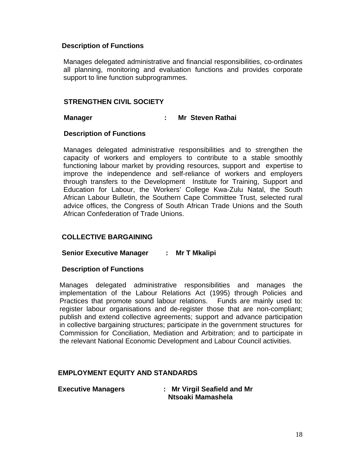#### **Description of Functions**

Manages delegated administrative and financial responsibilities, co-ordinates all planning, monitoring and evaluation functions and provides corporate support to line function subprogrammes.

#### **STRENGTHEN CIVIL SOCIETY**

#### **Manager : Mr Steven Rathai**

#### **Description of Functions**

Manages delegated administrative responsibilities and to strengthen the capacity of workers and employers to contribute to a stable smoothly functioning labour market by providing resources, support and expertise to improve the independence and self-reliance of workers and employers through transfers to the Development Institute for Training, Support and Education for Labour, the Workers' College Kwa-Zulu Natal, the South African Labour Bulletin, the Southern Cape Committee Trust, selected rural advice offices, the Congress of South African Trade Unions and the South African Confederation of Trade Unions.

#### **COLLECTIVE BARGAINING**

#### **Senior Executive Manager : Mr T Mkalipi**

#### **Description of Functions**

Manages delegated administrative responsibilities and manages the implementation of the Labour Relations Act (1995) through Policies and Practices that promote sound labour relations. Funds are mainly used to: register labour organisations and de-register those that are non-compliant; publish and extend collective agreements; support and advance participation in collective bargaining structures; participate in the government structures for Commission for Conciliation, Mediation and Arbitration; and to participate in the relevant National Economic Development and Labour Council activities.

#### **EMPLOYMENT EQUITY AND STANDARDS**

 **Executive Managers : Mr Virgil Seafield and Mr Ntsoaki Mamashela**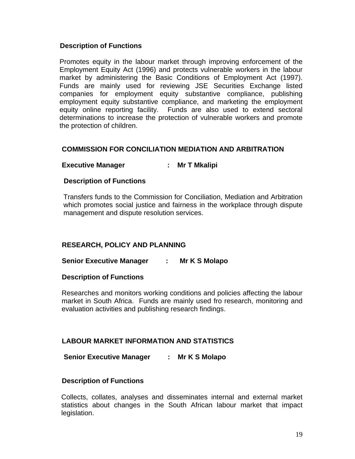#### **Description of Functions**

Promotes equity in the labour market through improving enforcement of the Employment Equity Act (1996) and protects vulnerable workers in the labour market by administering the Basic Conditions of Employment Act (1997). Funds are mainly used for reviewing JSE Securities Exchange listed companies for employment equity substantive compliance, publishing employment equity substantive compliance, and marketing the employment equity online reporting facility. Funds are also used to extend sectoral determinations to increase the protection of vulnerable workers and promote the protection of children.

#### **COMMISSION FOR CONCILIATION MEDIATION AND ARBITRATION**

## **Executive Manager : Mr T Mkalipi**

#### **Description of Functions**

Transfers funds to the Commission for Conciliation, Mediation and Arbitration which promotes social justice and fairness in the workplace through dispute management and dispute resolution services.

#### **RESEARCH, POLICY AND PLANNING**

#### **Senior Executive Manager : Mr K S Molapo**

#### **Description of Functions**

Researches and monitors working conditions and policies affecting the labour market in South Africa. Funds are mainly used fro research, monitoring and evaluation activities and publishing research findings.

#### **LABOUR MARKET INFORMATION AND STATISTICS**

#### **Senior Executive Manager : Mr K S Molapo**

#### **Description of Functions**

Collects, collates, analyses and disseminates internal and external market statistics about changes in the South African labour market that impact legislation.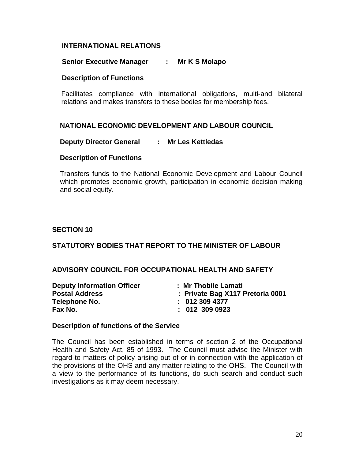## **INTERNATIONAL RELATIONS**

#### **Senior Executive Manager : Mr K S Molapo**

#### **Description of Functions**

Facilitates compliance with international obligations, multi-and bilateral relations and makes transfers to these bodies for membership fees.

#### **NATIONAL ECONOMIC DEVELOPMENT AND LABOUR COUNCIL**

#### **Deputy Director General : Mr Les Kettledas**

#### **Description of Functions**

Transfers funds to the National Economic Development and Labour Council which promotes economic growth, participation in economic decision making and social equity.

#### **SECTION 10**

#### **STATUTORY BODIES THAT REPORT TO THE MINISTER OF LABOUR**

#### **ADVISORY COUNCIL FOR OCCUPATIONAL HEALTH AND SAFETY**

| <b>Deputy Information Officer</b> | : Mr Thobile Lamati              |
|-----------------------------------|----------------------------------|
| <b>Postal Address</b>             | : Private Bag X117 Pretoria 0001 |
| Telephone No.                     | : 0123094377                     |
| Fax No.                           | $: 012$ 309 0923                 |

#### **Description of functions of the Service**

The Council has been established in terms of section 2 of the Occupational Health and Safety Act, 85 of 1993. The Council must advise the Minister with regard to matters of policy arising out of or in connection with the application of the provisions of the OHS and any matter relating to the OHS. The Council with a view to the performance of its functions, do such search and conduct such investigations as it may deem necessary.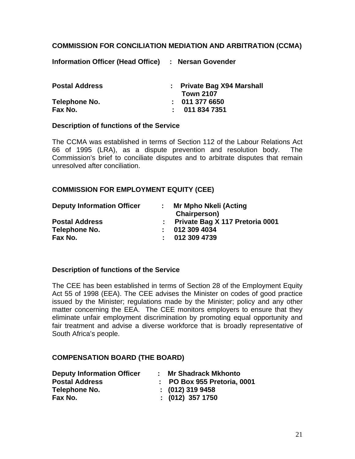## **COMMISSION FOR CONCILIATION MEDIATION AND ARBITRATION (CCMA)**

**Information Officer (Head Office) : Nersan Govender** 

| <b>Postal Address</b> | : Private Bag X94 Marshall |
|-----------------------|----------------------------|
|                       | <b>Town 2107</b>           |
| Telephone No.         | : 0113776650               |
| Fax No.               | : 0118347351               |

#### **Description of functions of the Service**

The CCMA was established in terms of Section 112 of the Labour Relations Act 66 of 1995 (LRA), as a dispute prevention and resolution body. The Commission's brief to conciliate disputes and to arbitrate disputes that remain unresolved after conciliation.

### **COMMISSION FOR EMPLOYMENT EQUITY (CEE)**

| <b>Deputy Information Officer</b> | Mr Mpho Nkeli (Acting<br>Chairperson) |
|-----------------------------------|---------------------------------------|
| <b>Postal Address</b>             | : Private Bag X 117 Pretoria 0001     |
| Telephone No.                     | : 0123094034                          |
| Fax No.                           | : 0123094739                          |

#### **Description of functions of the Service**

The CEE has been established in terms of Section 28 of the Employment Equity Act 55 of 1998 (EEA). The CEE advises the Minister on codes of good practice issued by the Minister; regulations made by the Minister; policy and any other matter concerning the EEA. The CEE monitors employers to ensure that they eliminate unfair employment discrimination by promoting equal opportunity and fair treatment and advise a diverse workforce that is broadly representative of South Africa's people.

#### **COMPENSATION BOARD (THE BOARD)**

| <b>Deputy Information Officer</b> | : Mr Shadrack Mkhonto       |
|-----------------------------------|-----------------------------|
| <b>Postal Address</b>             | : PO Box 955 Pretoria, 0001 |
| Telephone No.                     | $: (012)$ 319 9458          |
| Fax No.                           | : (012) 357 1750            |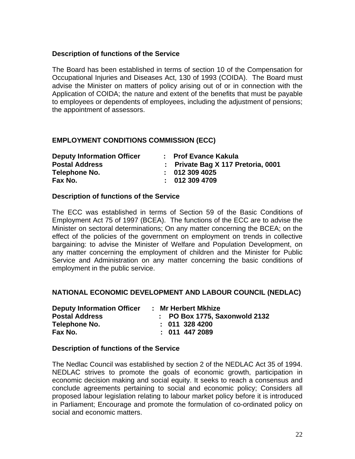## **Description of functions of the Service**

The Board has been established in terms of section 10 of the Compensation for Occupational Injuries and Diseases Act, 130 of 1993 (COIDA). The Board must advise the Minister on matters of policy arising out of or in connection with the Application of COIDA; the nature and extent of the benefits that must be payable to employees or dependents of employees, including the adjustment of pensions; the appointment of assessors.

## **EMPLOYMENT CONDITIONS COMMISSION (ECC)**

| <b>Deputy Information Officer</b> | : Prof Evance Kakula               |
|-----------------------------------|------------------------------------|
| <b>Postal Address</b>             | : Private Bag X 117 Pretoria, 0001 |
| Telephone No.                     | : 0123094025                       |
| Fax No.                           | : 0123094709                       |

#### **Description of functions of the Service**

The ECC was established in terms of Section 59 of the Basic Conditions of Employment Act 75 of 1997 (BCEA). The functions of the ECC are to advise the Minister on sectoral determinations; On any matter concerning the BCEA; on the effect of the policies of the government on employment on trends in collective bargaining: to advise the Minister of Welfare and Population Development, on any matter concerning the employment of children and the Minister for Public Service and Administration on any matter concerning the basic conditions of employment in the public service.

#### **NATIONAL ECONOMIC DEVELOPMENT AND LABOUR COUNCIL (NEDLAC)**

| <b>Deputy Information Officer</b> | : Mr Herbert Mkhize           |
|-----------------------------------|-------------------------------|
| <b>Postal Address</b>             | : PO Box 1775, Saxonwold 2132 |
| Telephone No.                     | $: 011$ 328 4200              |
| Fax No.                           | $: 011$ 447 2089              |

#### **Description of functions of the Service**

The Nedlac Council was established by section 2 of the NEDLAC Act 35 of 1994. NEDLAC strives to promote the goals of economic growth, participation in economic decision making and social equity. It seeks to reach a consensus and conclude agreements pertaining to social and economic policy; Considers all proposed labour legislation relating to labour market policy before it is introduced in Parliament; Encourage and promote the formulation of co-ordinated policy on social and economic matters.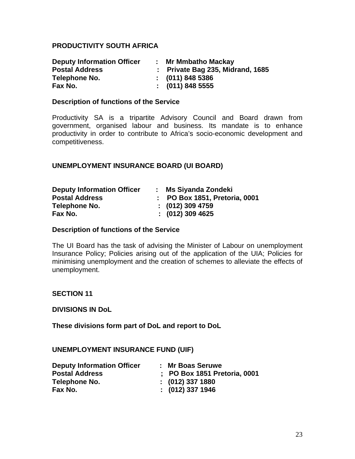#### **PRODUCTIVITY SOUTH AFRICA**

| <b>Deputy Information Officer</b> | <b>Mr Mmbatho Mackay</b>         |
|-----------------------------------|----------------------------------|
| <b>Postal Address</b>             | : Private Bag 235, Midrand, 1685 |
| Telephone No.                     | $\colon$ (011) 848 5386          |
| Fax No.                           | $\colon$ (011) 848 5555          |

#### **Description of functions of the Service**

Productivity SA is a tripartite Advisory Council and Board drawn from government, organised labour and business. Its mandate is to enhance productivity in order to contribute to Africa's socio-economic development and competitiveness.

#### **UNEMPLOYMENT INSURANCE BOARD (UI BOARD)**

| <b>Deputy Information Officer</b> | : Ms Siyanda Zondeki          |
|-----------------------------------|-------------------------------|
| <b>Postal Address</b>             | : PO Box 1851, Pretoria, 0001 |
| Telephone No.                     | $\colon$ (012) 309 4759       |
| Fax No.                           | $: (012)$ 309 4625            |

#### **Description of functions of the Service**

The UI Board has the task of advising the Minister of Labour on unemployment Insurance Policy; Policies arising out of the application of the UIA; Policies for minimising unemployment and the creation of schemes to alleviate the effects of unemployment.

#### **SECTION 11**

#### **DIVISIONS IN DoL**

**These divisions form part of DoL and report to DoL** 

#### **UNEMPLOYMENT INSURANCE FUND (UIF)**

| <b>Deputy Information Officer</b> | : Mr Boas Seruwe             |
|-----------------------------------|------------------------------|
| <b>Postal Address</b>             | ; PO Box 1851 Pretoria, 0001 |
| Telephone No.                     | $: (012)$ 337 1880           |
| Fax No.                           | $: (012)$ 337 1946           |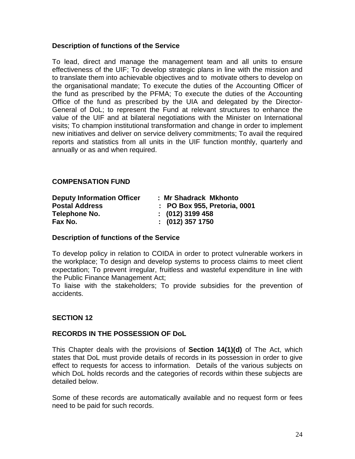#### **Description of functions of the Service**

To lead, direct and manage the management team and all units to ensure effectiveness of the UIF; To develop strategic plans in line with the mission and to translate them into achievable objectives and to motivate others to develop on the organisational mandate; To execute the duties of the Accounting Officer of the fund as prescribed by the PFMA; To execute the duties of the Accounting Office of the fund as prescribed by the UIA and delegated by the Director-General of DoL; to represent the Fund at relevant structures to enhance the value of the UIF and at bilateral negotiations with the Minister on International visits; To champion institutional transformation and change in order to implement new initiatives and deliver on service delivery commitments; To avail the required reports and statistics from all units in the UIF function monthly, quarterly and annually or as and when required.

## **COMPENSATION FUND**

| <b>Deputy Information Officer</b> | : Mr Shadrack Mkhonto        |
|-----------------------------------|------------------------------|
| <b>Postal Address</b>             | : PO Box 955, Pretoria, 0001 |
| Telephone No.                     | $: (012)$ 3199 458           |
| Fax No.                           | $: (012)$ 357 1750           |

#### **Description of functions of the Service**

To develop policy in relation to COIDA in order to protect vulnerable workers in the workplace; To design and develop systems to process claims to meet client expectation; To prevent irregular, fruitless and wasteful expenditure in line with the Public Finance Management Act;

To liaise with the stakeholders; To provide subsidies for the prevention of accidents.

#### **SECTION 12**

#### **RECORDS IN THE POSSESSION OF DoL**

This Chapter deals with the provisions of **Section 14(1)(d)** of The Act, which states that DoL must provide details of records in its possession in order to give effect to requests for access to information. Details of the various subjects on which DoL holds records and the categories of records within these subjects are detailed below.

Some of these records are automatically available and no request form or fees need to be paid for such records.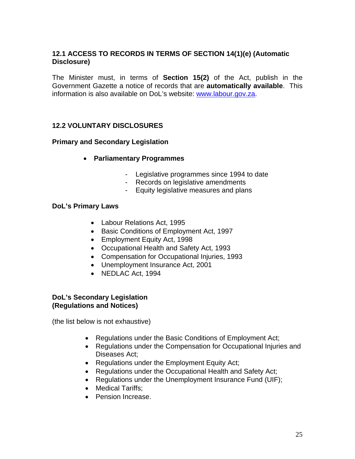## **12.1 ACCESS TO RECORDS IN TERMS OF SECTION 14(1)(e) (Automatic Disclosure)**

The Minister must, in terms of **Section 15(2)** of the Act, publish in the Government Gazette a notice of records that are **automatically available**. This information is also available on DoL's website: www.labour.gov.za.

## **12.2 VOLUNTARY DISCLOSURES**

#### **Primary and Secondary Legislation**

- **Parliamentary Programmes** 
	- Legislative programmes since 1994 to date
	- Records on legislative amendments
	- Equity legislative measures and plans

#### **DoL's Primary Laws**

- Labour Relations Act, 1995
- Basic Conditions of Employment Act, 1997
- Employment Equity Act, 1998
- Occupational Health and Safety Act, 1993
- Compensation for Occupational Injuries, 1993
- Unemployment Insurance Act, 2001
- NEDLAC Act, 1994

#### **DoL's Secondary Legislation (Regulations and Notices)**

(the list below is not exhaustive)

- Regulations under the Basic Conditions of Employment Act;
- Regulations under the Compensation for Occupational Injuries and Diseases Act;
- Regulations under the Employment Equity Act;
- Regulations under the Occupational Health and Safety Act;
- Regulations under the Unemployment Insurance Fund (UIF);
- Medical Tariffs;
- Pension Increase.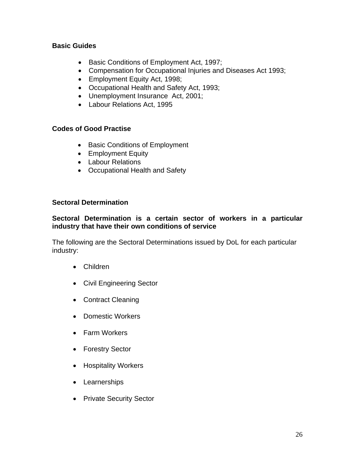## **Basic Guides**

- Basic Conditions of Employment Act, 1997;
- Compensation for Occupational Injuries and Diseases Act 1993;
- Employment Equity Act, 1998;
- Occupational Health and Safety Act, 1993;
- Unemployment Insurance Act, 2001;
- Labour Relations Act, 1995

## **Codes of Good Practise**

- Basic Conditions of Employment
- Employment Equity
- Labour Relations
- Occupational Health and Safety

#### **Sectoral Determination**

#### **Sectoral Determination is a certain sector of workers in a particular industry that have their own conditions of service**

The following are the Sectoral Determinations issued by DoL for each particular industry:

- Children
- Civil Engineering Sector
- Contract Cleaning
- Domestic Workers
- Farm Workers
- Forestry Sector
- Hospitality Workers
- Learnerships
- Private Security Sector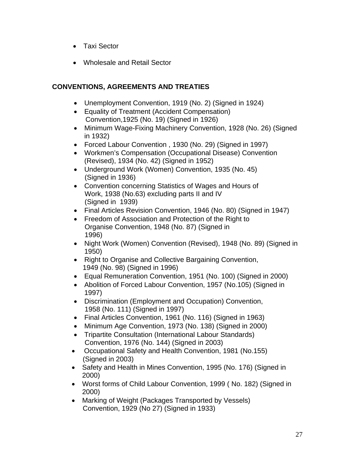- Taxi Sector
- Wholesale and Retail Sector

## **CONVENTIONS, AGREEMENTS AND TREATIES**

- Unemployment Convention, 1919 (No. 2) (Signed in 1924)
- Equality of Treatment (Accident Compensation) Convention,1925 (No. 19) (Signed in 1926)
- Minimum Wage-Fixing Machinery Convention, 1928 (No. 26) (Signed in 1932)
- Forced Labour Convention , 1930 (No. 29) (Signed in 1997)
- Workmen's Compensation (Occupational Disease) Convention (Revised), 1934 (No. 42) (Signed in 1952)
- Underground Work (Women) Convention, 1935 (No. 45) (Signed in 1936)
- Convention concerning Statistics of Wages and Hours of Work, 1938 (No.63) excluding parts II and IV (Signed in 1939)
- Final Articles Revision Convention, 1946 (No. 80) (Signed in 1947)
- Freedom of Association and Protection of the Right to Organise Convention, 1948 (No. 87) (Signed in 1996)
- Night Work (Women) Convention (Revised), 1948 (No. 89) (Signed in 1950)
- Right to Organise and Collective Bargaining Convention, 1949 (No. 98) (Signed in 1996)
- Equal Remuneration Convention, 1951 (No. 100) (Signed in 2000)
- Abolition of Forced Labour Convention, 1957 (No.105) (Signed in 1997)
- Discrimination (Employment and Occupation) Convention, 1958 (No. 111) (Signed in 1997)
- Final Articles Convention, 1961 (No. 116) (Signed in 1963)
- Minimum Age Convention, 1973 (No. 138) (Signed in 2000)
- Tripartite Consultation (International Labour Standards) Convention, 1976 (No. 144) (Signed in 2003)
- Occupational Safety and Health Convention, 1981 (No.155) (Signed in 2003)
- Safety and Health in Mines Convention, 1995 (No. 176) (Signed in 2000)
- Worst forms of Child Labour Convention, 1999 (No. 182) (Signed in 2000)
- Marking of Weight (Packages Transported by Vessels) Convention, 1929 (No 27) (Signed in 1933)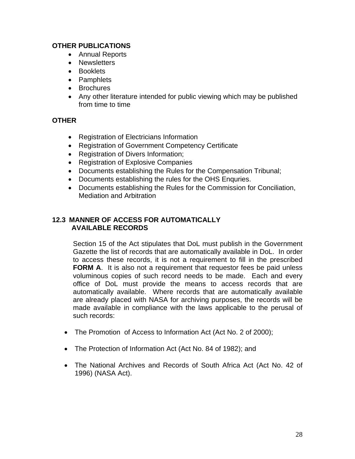## **OTHER PUBLICATIONS**

- Annual Reports
- Newsletters
- Booklets
- Pamphlets
- Brochures
- Any other literature intended for public viewing which may be published from time to time

## **OTHER**

- Registration of Electricians Information
- Registration of Government Competency Certificate
- Registration of Divers Information:
- Registration of Explosive Companies
- Documents establishing the Rules for the Compensation Tribunal;
- Documents establishing the rules for the OHS Enquries.
- Documents establishing the Rules for the Commission for Conciliation, Mediation and Arbitration

## **12.3 MANNER OF ACCESS FOR AUTOMATICALLY AVAILABLE RECORDS**

Section 15 of the Act stipulates that DoL must publish in the Government Gazette the list of records that are automatically available in DoL. In order to access these records, it is not a requirement to fill in the prescribed **FORM A**. It is also not a requirement that requestor fees be paid unless voluminous copies of such record needs to be made. Each and every office of DoL must provide the means to access records that are automatically available. Where records that are automatically available are already placed with NASA for archiving purposes, the records will be made available in compliance with the laws applicable to the perusal of such records:

- The Promotion of Access to Information Act (Act No. 2 of 2000);
- The Protection of Information Act (Act No. 84 of 1982); and
- The National Archives and Records of South Africa Act (Act No. 42 of 1996) (NASA Act).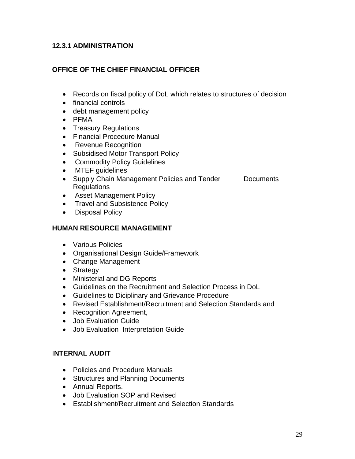## **12.3.1 ADMINISTRATION**

## **OFFICE OF THE CHIEF FINANCIAL OFFICER**

- Records on fiscal policy of DoL which relates to structures of decision
- financial controls
- debt management policy
- PFMA
- Treasury Regulations
- Financial Procedure Manual
- Revenue Recognition
- Subsidised Motor Transport Policy
- Commodity Policy Guidelines
- MTEF guidelines
- Supply Chain Management Policies and Tender Documents **Regulations**
- Asset Management Policy
- Travel and Subsistence Policy
- Disposal Policy

## **HUMAN RESOURCE MANAGEMENT**

- Various Policies
- Organisational Design Guide/Framework
- Change Management
- Strategy
- Ministerial and DG Reports
- Guidelines on the Recruitment and Selection Process in DoL
- Guidelines to Diciplinary and Grievance Procedure
- Revised Establishment/Recruitment and Selection Standards and
- Recognition Agreement,
- Job Evaluation Guide
- Job Evaluation Interpretation Guide

#### I**NTERNAL AUDIT**

- Policies and Procedure Manuals
- Structures and Planning Documents
- Annual Reports.
- Job Evaluation SOP and Revised
- Establishment/Recruitment and Selection Standards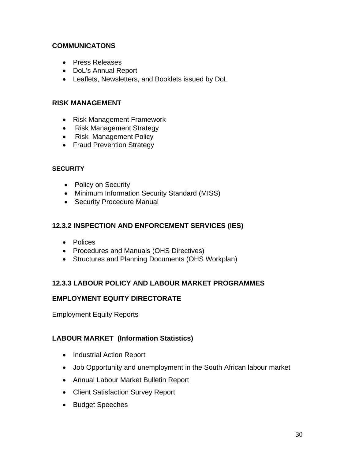## **COMMUNICATONS**

- Press Releases
- DoL's Annual Report
- Leaflets, Newsletters, and Booklets issued by DoL

## **RISK MANAGEMENT**

- Risk Management Framework
- Risk Management Strategy
- Risk Management Policy
- Fraud Prevention Strategy

#### **SECURITY**

- Policy on Security
- Minimum Information Security Standard (MISS)
- Security Procedure Manual

## **12.3.2 INSPECTION AND ENFORCEMENT SERVICES (IES)**

- Polices
- Procedures and Manuals (OHS Directives)
- Structures and Planning Documents (OHS Workplan)

## **12.3.3 LABOUR POLICY AND LABOUR MARKET PROGRAMMES**

#### **EMPLOYMENT EQUITY DIRECTORATE**

Employment Equity Reports

## **LABOUR MARKET (Information Statistics)**

- Industrial Action Report
- Job Opportunity and unemployment in the South African labour market
- Annual Labour Market Bulletin Report
- Client Satisfaction Survey Report
- Budget Speeches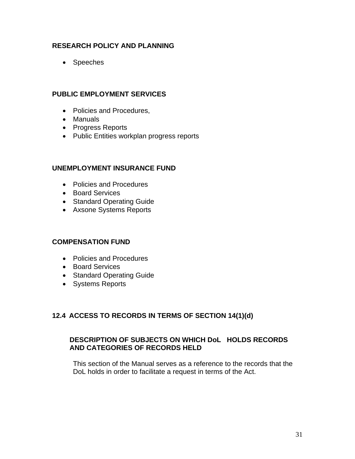## **RESEARCH POLICY AND PLANNING**

• Speeches

## **PUBLIC EMPLOYMENT SERVICES**

- Policies and Procedures,
- Manuals
- Progress Reports
- Public Entities workplan progress reports

#### **UNEMPLOYMENT INSURANCE FUND**

- Policies and Procedures
- Board Services
- Standard Operating Guide
- Axsone Systems Reports

#### **COMPENSATION FUND**

- Policies and Procedures
- Board Services
- Standard Operating Guide
- Systems Reports

#### **12.4 ACCESS TO RECORDS IN TERMS OF SECTION 14(1)(d)**

## **DESCRIPTION OF SUBJECTS ON WHICH DoL HOLDS RECORDS AND CATEGORIES OF RECORDS HELD**

This section of the Manual serves as a reference to the records that the DoL holds in order to facilitate a request in terms of the Act.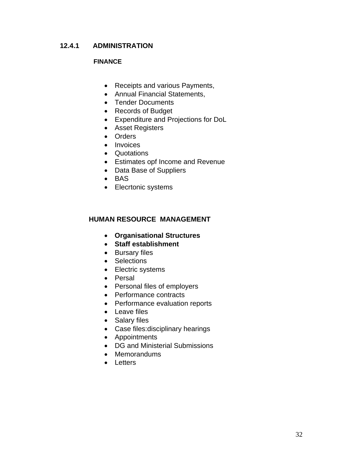## **12.4.1 ADMINISTRATION**

## **FINANCE**

- Receipts and various Payments,
- Annual Financial Statements,
- Tender Documents
- Records of Budget
- Expenditure and Projections for DoL
- Asset Registers
- Orders
- Invoices
- Quotations
- Estimates opf Income and Revenue
- Data Base of Suppliers
- BAS
- Elecrtonic systems

#### **HUMAN RESOURCE MANAGEMENT**

- **Organisational Structures**
- **Staff establishment**
- Bursary files
- Selections
- Electric systems
- Persal
- Personal files of employers
- Performance contracts
- Performance evaluation reports
- Leave files
- Salary files
- Case files:disciplinary hearings
- Appointments
- DG and Ministerial Submissions
- Memorandums
- Letters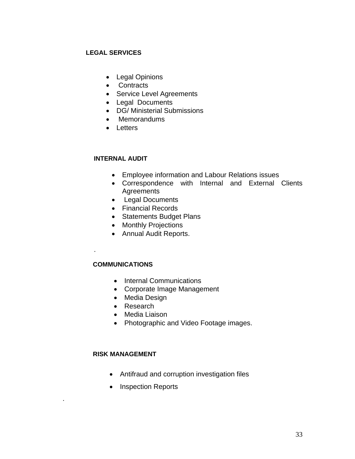#### **LEGAL SERVICES**

- Legal Opinions
- Contracts
- Service Level Agreements
- Legal Documents
- DG/ Ministerial Submissions
- Memorandums
- Letters

## **INTERNAL AUDIT**

- Employee information and Labour Relations issues
- Correspondence with Internal and External Clients **Agreements**
- Legal Documents
- Financial Records
- Statements Budget Plans
- Monthly Projections
- Annual Audit Reports.

#### **COMMUNICATIONS**

.

.

- Internal Communications
- Corporate Image Management
- Media Design
- Research
- Media Liaison
- Photographic and Video Footage images.

#### **RISK MANAGEMENT**

- Antifraud and corruption investigation files
- Inspection Reports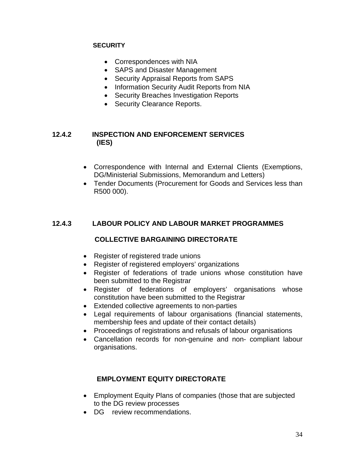#### **SECURITY**

- Correspondences with NIA
- SAPS and Disaster Management
- Security Appraisal Reports from SAPS
- Information Security Audit Reports from NIA
- Security Breaches Investigation Reports
- Security Clearance Reports.

## **12.4.2 INSPECTION AND ENFORCEMENT SERVICES (IES)**

- Correspondence with Internal and External Clients (Exemptions, DG/Ministerial Submissions, Memorandum and Letters)
- Tender Documents (Procurement for Goods and Services less than R500 000).

## **12.4.3 LABOUR POLICY AND LABOUR MARKET PROGRAMMES**

#### **COLLECTIVE BARGAINING DIRECTORATE**

- Register of registered trade unions
- Register of registered employers' organizations
- Register of federations of trade unions whose constitution have been submitted to the Registrar
- Register of federations of employers' organisations whose constitution have been submitted to the Registrar
- Extended collective agreements to non-parties
- Legal requirements of labour organisations (financial statements, membership fees and update of their contact details)
- Proceedings of registrations and refusals of labour organisations
- Cancellation records for non-genuine and non- compliant labour organisations.

## **EMPLOYMENT EQUITY DIRECTORATE**

- Employment Equity Plans of companies (those that are subjected to the DG review processes
- DG review recommendations.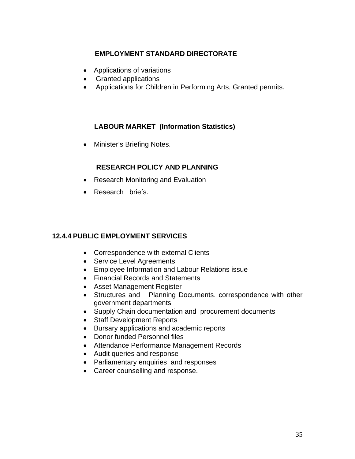## **EMPLOYMENT STANDARD DIRECTORATE**

- Applications of variations
- Granted applications
- Applications for Children in Performing Arts, Granted permits.

## **LABOUR MARKET (Information Statistics)**

• Minister's Briefing Notes.

## **RESEARCH POLICY AND PLANNING**

- Research Monitoring and Evaluation
- Research briefs.

## **12.4.4 PUBLIC EMPLOYMENT SERVICES**

- Correspondence with external Clients
- Service Level Agreements
- Employee Information and Labour Relations issue
- Financial Records and Statements
- Asset Management Register
- Structures and Planning Documents. correspondence with other government departments
- Supply Chain documentation and procurement documents
- Staff Development Reports
- Bursary applications and academic reports
- Donor funded Personnel files
- Attendance Performance Management Records
- Audit queries and response
- Parliamentary enquiries and responses
- Career counselling and response.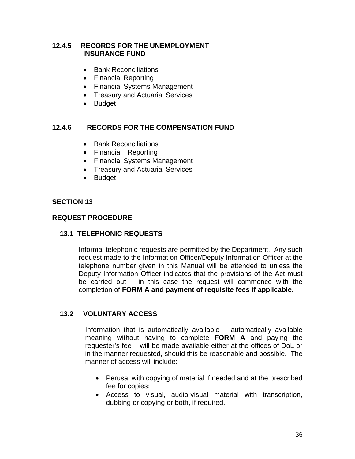## **12.4.5 RECORDS FOR THE UNEMPLOYMENT INSURANCE FUND**

- Bank Reconciliations
- Financial Reporting
- Financial Systems Management
- Treasury and Actuarial Services
- Budget

## **12.4.6 RECORDS FOR THE COMPENSATION FUND**

- Bank Reconciliations
- Financial Reporting
- Financial Systems Management
- Treasury and Actuarial Services
- Budget

## **SECTION 13**

## **REQUEST PROCEDURE**

## **13.1 TELEPHONIC REQUESTS**

Informal telephonic requests are permitted by the Department. Any such request made to the Information Officer/Deputy Information Officer at the telephone number given in this Manual will be attended to unless the Deputy Information Officer indicates that the provisions of the Act must be carried out  $-$  in this case the request will commence with the completion of **FORM A and payment of requisite fees if applicable.** 

## **13.2 VOLUNTARY ACCESS**

Information that is automatically available – automatically available meaning without having to complete **FORM A** and paying the requester's fee – will be made available either at the offices of DoL or in the manner requested, should this be reasonable and possible. The manner of access will include:

- Perusal with copying of material if needed and at the prescribed fee for copies;
- Access to visual, audio-visual material with transcription, dubbing or copying or both, if required.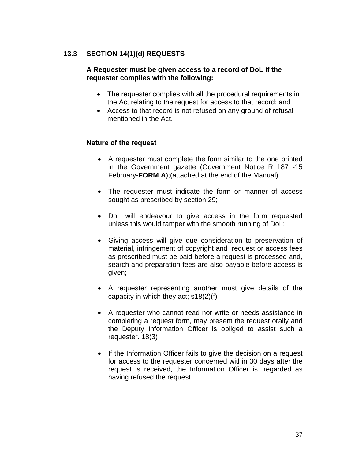## **13.3 SECTION 14(1)(d) REQUESTS**

#### **A Requester must be given access to a record of DoL if the requester complies with the following:**

- The requester complies with all the procedural requirements in the Act relating to the request for access to that record; and
- Access to that record is not refused on any ground of refusal mentioned in the Act.

## **Nature of the request**

- A requester must complete the form similar to the one printed in the Government gazette (Government Notice R 187 -15 February-**FORM A**);(attached at the end of the Manual).
- The requester must indicate the form or manner of access sought as prescribed by section 29;
- DoL will endeavour to give access in the form requested unless this would tamper with the smooth running of DoL;
- Giving access will give due consideration to preservation of material, infringement of copyright and request or access fees as prescribed must be paid before a request is processed and, search and preparation fees are also payable before access is given;
- A requester representing another must give details of the capacity in which they act; s18(2)(f)
- A requester who cannot read nor write or needs assistance in completing a request form, may present the request orally and the Deputy Information Officer is obliged to assist such a requester. 18(3)
- If the Information Officer fails to give the decision on a request for access to the requester concerned within 30 days after the request is received, the Information Officer is, regarded as having refused the request.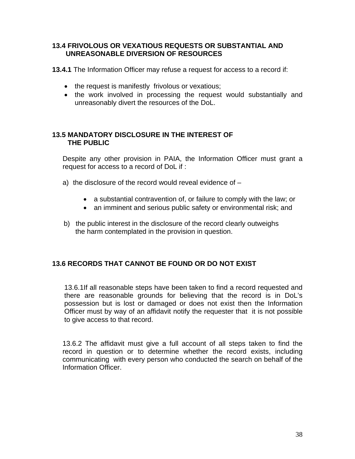## **13.4 FRIVOLOUS OR VEXATIOUS REQUESTS OR SUBSTANTIAL AND UNREASONABLE DIVERSION OF RESOURCES**

**13.4.1** The Information Officer may refuse a request for access to a record if:

- the request is manifestly frivolous or vexatious;
- the work involved in processing the request would substantially and unreasonably divert the resources of the DoL.

## **13.5 MANDATORY DISCLOSURE IN THE INTEREST OF THE PUBLIC**

Despite any other provision in PAIA, the Information Officer must grant a request for access to a record of DoL if :

- a) the disclosure of the record would reveal evidence of
	- a substantial contravention of, or failure to comply with the law; or
	- an imminent and serious public safety or environmental risk; and
- b) the public interest in the disclosure of the record clearly outweighs the harm contemplated in the provision in question.

## **13.6 RECORDS THAT CANNOT BE FOUND OR DO NOT EXIST**

13.6.1If all reasonable steps have been taken to find a record requested and there are reasonable grounds for believing that the record is in DoL's possession but is lost or damaged or does not exist then the Information Officer must by way of an affidavit notify the requester that it is not possible to give access to that record.

13.6.2 The affidavit must give a full account of all steps taken to find the record in question or to determine whether the record exists, including communicating with every person who conducted the search on behalf of the Information Officer.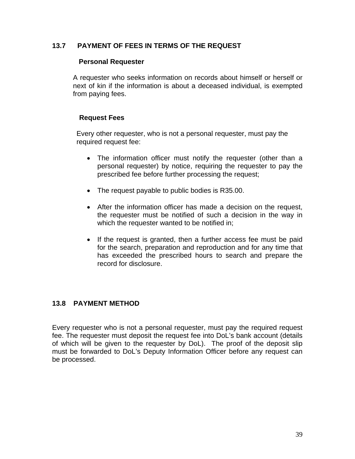## **13.7 PAYMENT OF FEES IN TERMS OF THE REQUEST**

#### **Personal Requester**

A requester who seeks information on records about himself or herself or next of kin if the information is about a deceased individual, is exempted from paying fees.

#### **Request Fees**

Every other requester, who is not a personal requester, must pay the required request fee:

- The information officer must notify the requester (other than a personal requester) by notice, requiring the requester to pay the prescribed fee before further processing the request;
- The request payable to public bodies is R35.00.
- After the information officer has made a decision on the request, the requester must be notified of such a decision in the way in which the requester wanted to be notified in;
- If the request is granted, then a further access fee must be paid for the search, preparation and reproduction and for any time that has exceeded the prescribed hours to search and prepare the record for disclosure.

## **13.8 PAYMENT METHOD**

Every requester who is not a personal requester, must pay the required request fee. The requester must deposit the request fee into DoL's bank account (details of which will be given to the requester by DoL). The proof of the deposit slip must be forwarded to DoL's Deputy Information Officer before any request can be processed.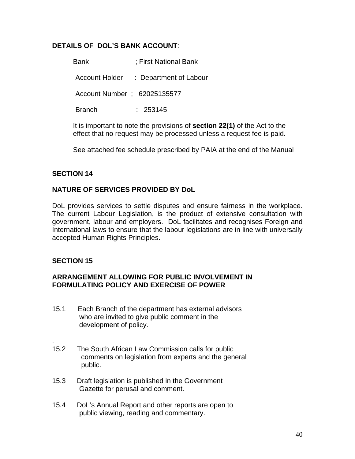## **DETAILS OF DOL'S BANK ACCOUNT**:

Bank ; First National Bank

Account Holder : Department of Labour

Account Number ; 62025135577

Branch : 253145

It is important to note the provisions of **section 22(1)** of the Act to the effect that no request may be processed unless a request fee is paid.

See attached fee schedule prescribed by PAIA at the end of the Manual

## **SECTION 14**

## **NATURE OF SERVICES PROVIDED BY DoL**

DoL provides services to settle disputes and ensure fairness in the workplace. The current Labour Legislation, is the product of extensive consultation with government, labour and employers. DoL facilitates and recognises Foreign and International laws to ensure that the labour legislations are in line with universally accepted Human Rights Principles.

#### **SECTION 15**

.

#### **ARRANGEMENT ALLOWING FOR PUBLIC INVOLVEMENT IN FORMULATING POLICY AND EXERCISE OF POWER**

- 15.1 Each Branch of the department has external advisors who are invited to give public comment in the development of policy.
- 15.2 The South African Law Commission calls for public comments on legislation from experts and the general public.
- 15.3 Draft legislation is published in the Government Gazette for perusal and comment.
- 15.4 DoL's Annual Report and other reports are open to public viewing, reading and commentary.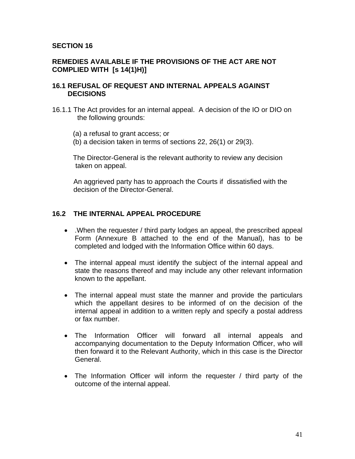#### **SECTION 16**

## **REMEDIES AVAILABLE IF THE PROVISIONS OF THE ACT ARE NOT COMPLIED WITH [s 14(1)H)]**

#### **16.1 REFUSAL OF REQUEST AND INTERNAL APPEALS AGAINST DECISIONS**

- 16.1.1 The Act provides for an internal appeal. A decision of the IO or DIO on the following grounds:
	- (a) a refusal to grant access; or
	- (b) a decision taken in terms of sections 22, 26(1) or 29(3).

The Director-General is the relevant authority to review any decision taken on appeal.

 An aggrieved party has to approach the Courts if dissatisfied with the decision of the Director-General.

#### **16.2 THE INTERNAL APPEAL PROCEDURE**

- .When the requester / third party lodges an appeal, the prescribed appeal Form (Annexure B attached to the end of the Manual), has to be completed and lodged with the Information Office within 60 days.
- The internal appeal must identify the subject of the internal appeal and state the reasons thereof and may include any other relevant information known to the appellant.
- The internal appeal must state the manner and provide the particulars which the appellant desires to be informed of on the decision of the internal appeal in addition to a written reply and specify a postal address or fax number.
- The Information Officer will forward all internal appeals and accompanying documentation to the Deputy Information Officer, who will then forward it to the Relevant Authority, which in this case is the Director General.
- The Information Officer will inform the requester / third party of the outcome of the internal appeal.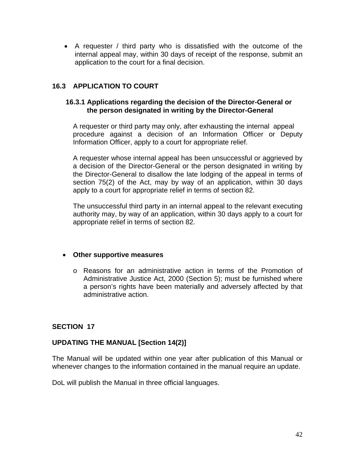• A requester / third party who is dissatisfied with the outcome of the internal appeal may, within 30 days of receipt of the response, submit an application to the court for a final decision.

## **16.3 APPLICATION TO COURT**

#### **16.3.1 Applications regarding the decision of the Director-General or the person designated in writing by the Director-General**

A requester or third party may only, after exhausting the internal appeal procedure against a decision of an Information Officer or Deputy Information Officer, apply to a court for appropriate relief.

A requester whose internal appeal has been unsuccessful or aggrieved by a decision of the Director-General or the person designated in writing by the Director-General to disallow the late lodging of the appeal in terms of section 75(2) of the Act, may by way of an application, within 30 days apply to a court for appropriate relief in terms of section 82.

The unsuccessful third party in an internal appeal to the relevant executing authority may, by way of an application, within 30 days apply to a court for appropriate relief in terms of section 82.

#### • **Other supportive measures**

o Reasons for an administrative action in terms of the Promotion of Administrative Justice Act, 2000 (Section 5); must be furnished where a person's rights have been materially and adversely affected by that administrative action.

#### **SECTION 17**

#### **UPDATING THE MANUAL [Section 14(2)]**

The Manual will be updated within one year after publication of this Manual or whenever changes to the information contained in the manual require an update.

DoL will publish the Manual in three official languages.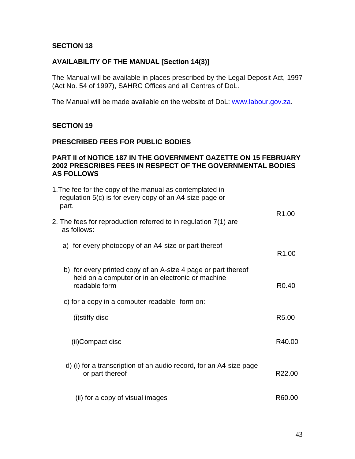#### **SECTION 18**

## **AVAILABILITY OF THE MANUAL [Section 14(3)]**

The Manual will be available in places prescribed by the Legal Deposit Act, 1997 (Act No. 54 of 1997), SAHRC Offices and all Centres of DoL.

The Manual will be made available on the website of DoL: www.labour.gov.za.

#### **SECTION 19**

#### **PRESCRIBED FEES FOR PUBLIC BODIES**

#### **PART II of NOTICE 187 IN THE GOVERNMENT GAZETTE ON 15 FEBRUARY 2002 PRESCRIBES FEES IN RESPECT OF THE GOVERNMENTAL BODIES AS FOLLOWS**

| 1. The fee for the copy of the manual as contemplated in<br>regulation 5(c) is for every copy of an A4-size page or<br>part.        |                   |
|-------------------------------------------------------------------------------------------------------------------------------------|-------------------|
| 2. The fees for reproduction referred to in regulation 7(1) are<br>as follows:                                                      | R <sub>1.00</sub> |
| a) for every photocopy of an A4-size or part thereof                                                                                | R <sub>1.00</sub> |
| b) for every printed copy of an A-size 4 page or part thereof<br>held on a computer or in an electronic or machine<br>readable form | R <sub>0.40</sub> |
| c) for a copy in a computer-readable- form on:                                                                                      |                   |
| (i)stiffy disc                                                                                                                      | R <sub>5.00</sub> |
| (ii)Compact disc                                                                                                                    | R40.00            |
| d) (i) for a transcription of an audio record, for an A4-size page<br>or part thereof                                               | R22.00            |
| (ii) for a copy of visual images                                                                                                    | R60.00            |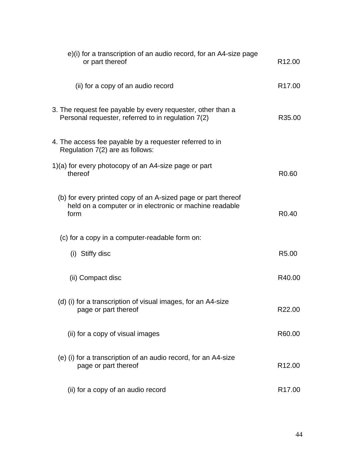| e)(i) for a transcription of an audio record, for an A4-size page<br>or part thereof                                             | R <sub>12.00</sub> |
|----------------------------------------------------------------------------------------------------------------------------------|--------------------|
| (ii) for a copy of an audio record                                                                                               | R <sub>17.00</sub> |
| 3. The request fee payable by every requester, other than a<br>Personal requester, referred to in regulation 7(2)                | R35.00             |
| 4. The access fee payable by a requester referred to in<br>Regulation 7(2) are as follows:                                       |                    |
| 1)(a) for every photocopy of an A4-size page or part<br>thereof                                                                  | R <sub>0.60</sub>  |
| (b) for every printed copy of an A-sized page or part thereof<br>held on a computer or in electronic or machine readable<br>form | R <sub>0.40</sub>  |
| (c) for a copy in a computer-readable form on:                                                                                   |                    |
| (i) Stiffy disc                                                                                                                  | R <sub>5.00</sub>  |
| (ii) Compact disc                                                                                                                | R40.00             |
| (d) (i) for a transcription of visual images, for an A4-size<br>page or part thereof                                             | R22.00             |
| (ii) for a copy of visual images                                                                                                 | R60.00             |
| (e) (i) for a transcription of an audio record, for an A4-size<br>page or part thereof                                           | R <sub>12.00</sub> |
| (ii) for a copy of an audio record                                                                                               | R <sub>17.00</sub> |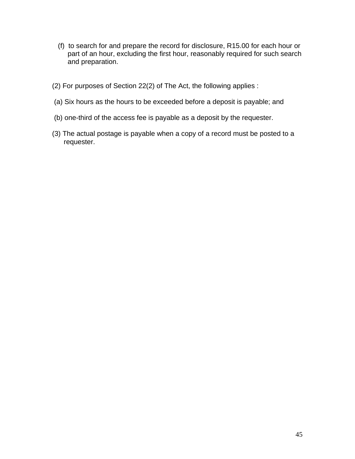- (f) to search for and prepare the record for disclosure, R15.00 for each hour or part of an hour, excluding the first hour, reasonably required for such search and preparation.
- (2) For purposes of Section 22(2) of The Act, the following applies :
- (a) Six hours as the hours to be exceeded before a deposit is payable; and
- (b) one-third of the access fee is payable as a deposit by the requester.
- (3) The actual postage is payable when a copy of a record must be posted to a requester.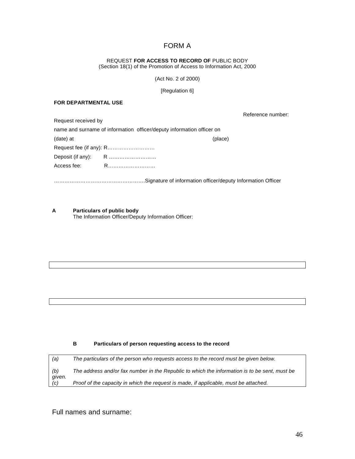## FORM A

## REQUEST **FOR ACCESS TO RECORD OF** PUBLIC BODY

(Section 18(1) of the Promotion of Access to Information Act, 2000

(Act No. 2 of 2000)

[Regulation 6]

#### **FOR DEPARTMENTAL USE**

Reference number:

| Request received by                                                   |  |  |
|-----------------------------------------------------------------------|--|--|
| name and surname of information officer/deputy information officer on |  |  |
| (date) at<br>(place)                                                  |  |  |
|                                                                       |  |  |
|                                                                       |  |  |
| Access fee:                                                           |  |  |
|                                                                       |  |  |

…………………………………………….Signature of information officer/deputy Information Officer

**A Particulars of public body**  The Information Officer/Deputy Information Officer:

#### **B Particulars of person requesting access to the record**

| (a)           | The particulars of the person who requests access to the record must be given below.          |
|---------------|-----------------------------------------------------------------------------------------------|
| (b)           | The address and/or fax number in the Republic to which the information is to be sent, must be |
| given.<br>(C) | Proof of the capacity in which the request is made, if applicable, must be attached.          |

Full names and surname: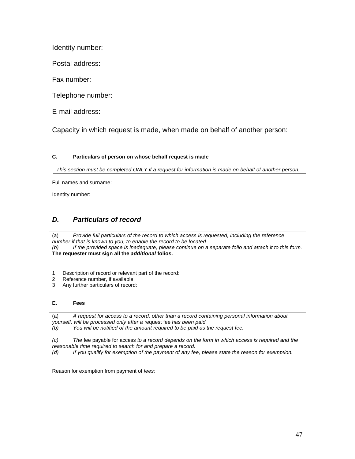Identity number:

Postal address:

Fax number:

Telephone number:

E-mail address:

Capacity in which request is made, when made on behalf of another person:

#### **C. Particulars of person on whose behalf request is made**

*This section must be completed ONLY if a request for information is made on behalf of another person.* 

Full names and surname:

Identity number:

## *D. Particulars of record*

(a) *Provide full particulars of the record to which access is requested, including the reference number if that is known to you, to enable the record to be located. (b) If the provided space is inadequate, please continue on a separate folio and attach it to this form.*  **The requester must sign all the** *additional* **folios.** 

- 1 Description of record or relevant part of the record:
- 2 Reference number, if available:
- 3 Any further particulars of record:

#### **E. Fees**

(a) *A request for access to a record, other than a record containing personal information about yourself, will be processed only after a* request fee *has been paid. (b) You will be notified of the amount required to be paid as the request fee. (c) The* fee payable for access *to a record depends on the form in which access is required and the reasonable time required to search for and prepare a record. (d) If you qualify for exemption of the payment of any fee, please state the reason for exemption.* 

Reason for exemption from payment of *fees:*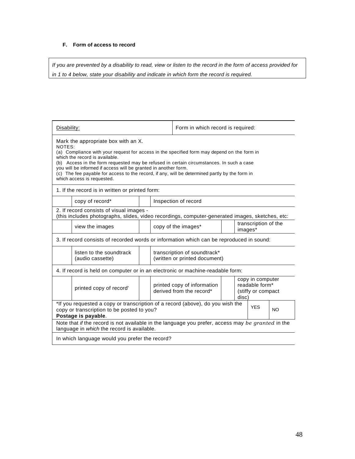#### **F. Form of access to record**

*If you are prevented by a disability to read, view or listen to the record in the form of access provided for in 1 to 4 below, state your disability and indicate in which form the record is required.* 

| Disability:                                                                                                                                                                                                                                                                                                                                                                                                                                                                   |                                                                                                                                             | Form in which record is required: |                                                        |  |  |  |
|-------------------------------------------------------------------------------------------------------------------------------------------------------------------------------------------------------------------------------------------------------------------------------------------------------------------------------------------------------------------------------------------------------------------------------------------------------------------------------|---------------------------------------------------------------------------------------------------------------------------------------------|-----------------------------------|--------------------------------------------------------|--|--|--|
| Mark the appropriate box with an X.<br>NOTES:<br>(a) Compliance with your request for access in the specified form may depend on the form in<br>which the record is available.<br>(b) Access in the form requested may be refused in certain circumstances. In such a case<br>you will be informed if access will be granted in another form.<br>(c) The fee payable for access to the record, if any, will be determined partly by the form in<br>which access is requested. |                                                                                                                                             |                                   |                                                        |  |  |  |
|                                                                                                                                                                                                                                                                                                                                                                                                                                                                               | 1. If the record is in written or printed form:                                                                                             |                                   |                                                        |  |  |  |
|                                                                                                                                                                                                                                                                                                                                                                                                                                                                               | Inspection of record<br>copy of record*                                                                                                     |                                   |                                                        |  |  |  |
|                                                                                                                                                                                                                                                                                                                                                                                                                                                                               | 2. If record consists of visual images -<br>(this includes photographs, slides, video recordings, computer-generated images, sketches, etc: |                                   |                                                        |  |  |  |
|                                                                                                                                                                                                                                                                                                                                                                                                                                                                               | view the images                                                                                                                             |                                   | transcription of the<br>copy of the images*<br>images* |  |  |  |
|                                                                                                                                                                                                                                                                                                                                                                                                                                                                               | 3. If record consists of recorded words or information which can be reproduced in sound:                                                    |                                   |                                                        |  |  |  |
|                                                                                                                                                                                                                                                                                                                                                                                                                                                                               | listen to the soundtrack<br>transcription of soundtrack*<br>(written or printed document)<br>(audio cassette)                               |                                   |                                                        |  |  |  |
| 4. If record is held on computer or in an electronic or machine-readable form:                                                                                                                                                                                                                                                                                                                                                                                                |                                                                                                                                             |                                   |                                                        |  |  |  |
| copy in computer<br>readable form*<br>printed copy of information<br>printed copy of record'<br>derived from the record*<br>(stiffy or compact<br>disc)                                                                                                                                                                                                                                                                                                                       |                                                                                                                                             |                                   |                                                        |  |  |  |
| *If you requested a copy or transcription of a record (above), do you wish the<br><b>YES</b><br>copy or transcription to be posted to you?<br><b>NO</b><br>Postage is payable.                                                                                                                                                                                                                                                                                                |                                                                                                                                             |                                   |                                                        |  |  |  |
| Note that if the record is not available in the language you prefer, access may be granted in the<br>language in which the record is available.                                                                                                                                                                                                                                                                                                                               |                                                                                                                                             |                                   |                                                        |  |  |  |
|                                                                                                                                                                                                                                                                                                                                                                                                                                                                               | In which language would you prefer the record?                                                                                              |                                   |                                                        |  |  |  |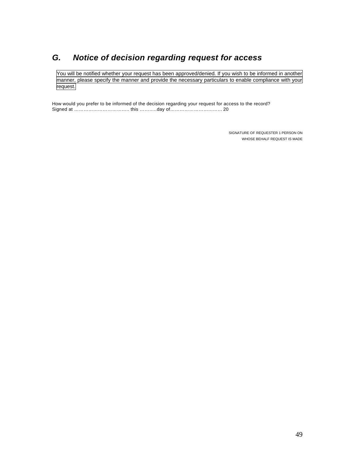## *G. Notice of decision regarding request for access*

You will be notified whether your request has been approved/denied. If you wish to be informed in another manner, please specify the manner and provide the necessary particulars to enable compliance with your request.

How would you prefer to be informed of the decision regarding your request for access to the record? Signed at …………………………….. this ………..day of…………………………… 20

> SIGNATURE OF REQUESTER 1 PERSON ON WHOSE BEHALF REQUEST IS MADE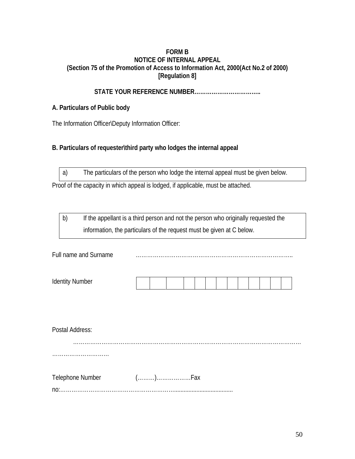#### **FORM B NOTICE OF INTERNAL APPEAL (Section 75 of the Promotion of Access to Information Act, 2000(Act No.2 of 2000) [Regulation 8]**

## **STATE YOUR REFERENCE NUMBER……………………………..**

## **A. Particulars of Public body**

The Information Officer\Deputy Information Officer:

## **B. Particulars of requester\third party who lodges the internal appeal**

a) The particulars of the person who lodge the internal appeal must be given below.

Proof of the capacity in which appeal is lodged, if applicable, must be attached.

b) If the appellant is a third person and not the person who originally requested the information, the particulars of the request must be given at C below.

| - "<br>Full name and Surname |  |
|------------------------------|--|
|                              |  |

| Postal Address:  |  |
|------------------|--|
|                  |  |
|                  |  |
| Telephone Number |  |
|                  |  |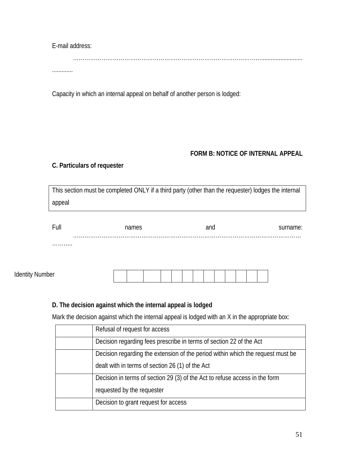E-mail address:

………………………………………………………………………………………..........................

.............

Capacity in which an internal appeal on behalf of another person is lodged:

## **FORM B: NOTICE OF INTERNAL APPEAL**

## **C. Particulars of requester**

This section must be completed ONLY if a third party (other than the requester) lodges the internal appeal

| Full            | names | and | surname: |
|-----------------|-------|-----|----------|
| .               |       |     |          |
| Identity Number |       |     |          |

## **D. The decision against which the internal appeal is lodged**

Mark the decision against which the internal appeal is lodged with an X in the appropriate box:

| Refusal of request for access                                                   |
|---------------------------------------------------------------------------------|
| Decision regarding fees prescribe in terms of section 22 of the Act             |
| Decision regarding the extension of the period within which the request must be |
| dealt with in terms of section 26 (1) of the Act                                |
| Decision in terms of section 29 (3) of the Act to refuse access in the form     |
| requested by the requester                                                      |
| Decision to grant request for access                                            |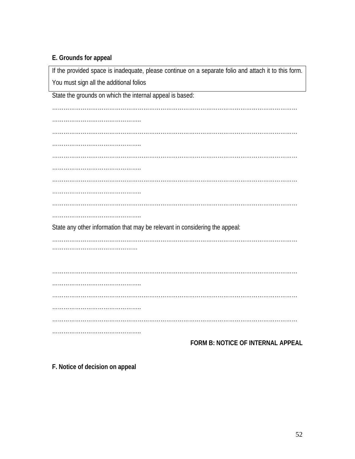## **E. Grounds for appeal**

If the provided space is inadequate, please continue on a separate folio and attach it to this form. You must sign all the additional folios State the grounds on which the internal appeal is based: ………………………………………………………………………………………………………………… ……………………………………….. ………………………………………………………………………………………………………………… ……………………………………….. ………………………………………………………………………………………………………………… ……………………………………….. ………………………………………………………………………………………………………………… ……………………………………….. ………………………………………………………………………………………………………………… ……………………………………….. State any other information that may be relevant in considering the appeal: ………………………………………………………………………………………………………………… ……………………………………… ………………………………………………………………………………………………………………… ……………………………………….. ………………………………………………………………………………………………………………… ……………………………………….. ………………………………………………………………………………………………………………… ………………………………………..

**FORM B: NOTICE OF INTERNAL APPEAL** 

**F. Notice of decision on appeal**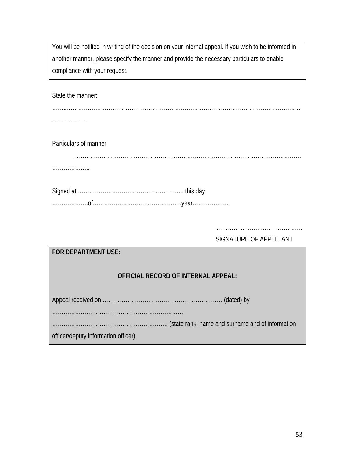You will be notified in writing of the decision on your internal appeal. If you wish to be informed in another manner, please specify the manner and provide the necessary particulars to enable compliance with your request.

State the manner:

……..…………………………………………………………………………………………………………… ……………………

Particulars of manner:

…………………………………………………………………………………………………………

……………………

Signed at ……………………………………………….. this day ……………….of………………………………………..year……………….

………………………………………………………

SIGNATURE OF APPELLANT

| <b>FOR DEPARTMENT USE:</b>           |  |
|--------------------------------------|--|
| OFFICIAL RECORD OF INTERNAL APPEAL:  |  |
|                                      |  |
| officer\deputy information officer). |  |